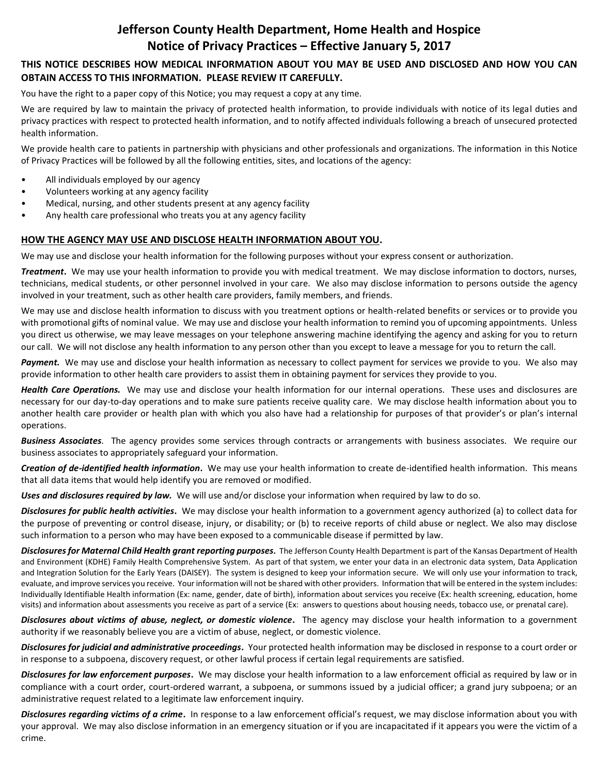# **Jefferson County Health Department, Home Health and Hospice Notice of Privacy Practices – Effective January 5, 2017**

## **THIS NOTICE DESCRIBES HOW MEDICAL INFORMATION ABOUT YOU MAY BE USED AND DISCLOSED AND HOW YOU CAN OBTAIN ACCESS TO THIS INFORMATION. PLEASE REVIEW IT CAREFULLY.**

You have the right to a paper copy of this Notice; you may request a copy at any time.

We are required by law to maintain the privacy of protected health information, to provide individuals with notice of its legal duties and privacy practices with respect to protected health information, and to notify affected individuals following a breach of unsecured protected health information.

We provide health care to patients in partnership with physicians and other professionals and organizations. The information in this Notice of Privacy Practices will be followed by all the following entities, sites, and locations of the agency:

- All individuals employed by our agency
- Volunteers working at any agency facility
- Medical, nursing, and other students present at any agency facility
- Any health care professional who treats you at any agency facility

### **HOW THE AGENCY MAY USE AND DISCLOSE HEALTH INFORMATION ABOUT YOU.**

We may use and disclose your health information for the following purposes without your express consent or authorization.

*Treatment***.** We may use your health information to provide you with medical treatment. We may disclose information to doctors, nurses, technicians, medical students, or other personnel involved in your care. We also may disclose information to persons outside the agency involved in your treatment, such as other health care providers, family members, and friends.

We may use and disclose health information to discuss with you treatment options or health-related benefits or services or to provide you with promotional gifts of nominal value. We may use and disclose your health information to remind you of upcoming appointments. Unless you direct us otherwise, we may leave messages on your telephone answering machine identifying the agency and asking for you to return our call. We will not disclose any health information to any person other than you except to leave a message for you to return the call.

Payment. We may use and disclose your health information as necessary to collect payment for services we provide to you. We also may provide information to other health care providers to assist them in obtaining payment for services they provide to you.

*Health Care Operations.* We may use and disclose your health information for our internal operations. These uses and disclosures are necessary for our day-to-day operations and to make sure patients receive quality care. We may disclose health information about you to another health care provider or health plan with which you also have had a relationship for purposes of that provider's or plan's internal operations.

*Business Associates.* The agency provides some services through contracts or arrangements with business associates. We require our business associates to appropriately safeguard your information.

*Creation of de-identified health information***.** We may use your health information to create de-identified health information. This means that all data items that would help identify you are removed or modified.

*Uses and disclosures required by law.* We will use and/or disclose your information when required by law to do so.

*Disclosures for public health activities***.** We may disclose your health information to a government agency authorized (a) to collect data for the purpose of preventing or control disease, injury, or disability; or (b) to receive reports of child abuse or neglect. We also may disclose such information to a person who may have been exposed to a communicable disease if permitted by law.

**Disclosures for Maternal Child Health grant reporting purposes**. The Jefferson County Health Department is part of the Kansas Department of Health and Environment (KDHE) Family Health Comprehensive System. As part of that system, we enter your data in an electronic data system, Data Application and Integration Solution for the Early Years (DAISEY). The system is designed to keep your information secure. We will only use your information to track, evaluate, and improve services you receive. Your information will not be shared with other providers. Information that will be entered in the system includes: Individually Identifiable Health information (Ex: name, gender, date of birth), information about services you receive (Ex: health screening, education, home visits) and information about assessments you receive as part of a service (Ex: answers to questions about housing needs, tobacco use, or prenatal care).

*Disclosures about victims of abuse, neglect, or domestic violence***.** The agency may disclose your health information to a government authority if we reasonably believe you are a victim of abuse, neglect, or domestic violence.

*Disclosures for judicial and administrative proceedings***.** Your protected health information may be disclosed in response to a court order or in response to a subpoena, discovery request, or other lawful process if certain legal requirements are satisfied.

*Disclosures for law enforcement purposes***.** We may disclose your health information to a law enforcement official as required by law or in compliance with a court order, court-ordered warrant, a subpoena, or summons issued by a judicial officer; a grand jury subpoena; or an administrative request related to a legitimate law enforcement inquiry.

*Disclosures regarding victims of a crime***.** In response to a law enforcement official's request, we may disclose information about you with your approval. We may also disclose information in an emergency situation or if you are incapacitated if it appears you were the victim of a crime.